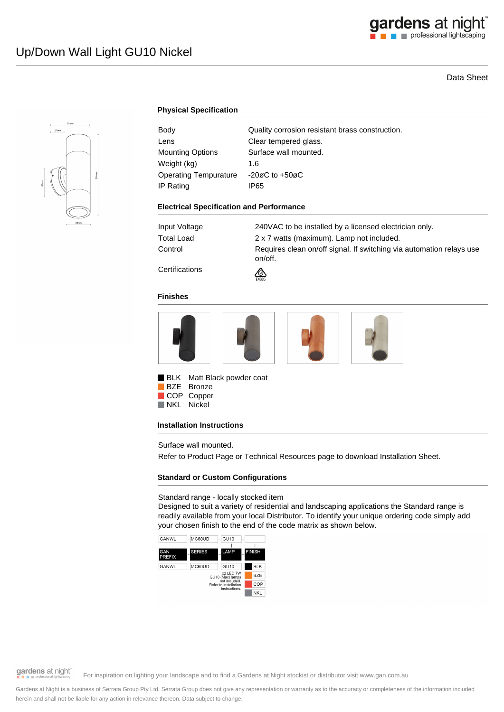# Data Sheet



# **Physical Specification**

| Body                         | Quality corrosion resistant brass construction. |
|------------------------------|-------------------------------------------------|
| Lens                         | Clear tempered glass.                           |
| <b>Mounting Options</b>      | Surface wall mounted.                           |
| Weight (kg)                  | 1.6                                             |
| <b>Operating Tempurature</b> | $-20\varnothing$ C to $+50\varnothing$ C        |
| IP Rating                    | IP65                                            |
|                              |                                                 |

## **Electrical Specification and Performance**

| Input Voltage | 240VAC to be installed by a licensed electrician only.                          |
|---------------|---------------------------------------------------------------------------------|
| Total Load    | 2 x 7 watts (maximum). Lamp not included.                                       |
| Control       | Requires clean on/off signal. If switching via automation relays use<br>on/off. |

**Certifications** 



## **Finishes**



**BLK** Matt Black powder coat BZE Bronze

COP Copper NKL Nickel

## **Installation Instructions**

Surface wall mounted.

Refer to Product Page or Technical Resources page to download Installation Sheet.

# **Standard or Custom Configurations**

## Standard range - locally stocked item

Designed to suit a variety of residential and landscaping applications the Standard range is readily available from your local Distributor. To identify your unique ordering code simply add your chosen finish to the end of the code matrix as shown below.



gardens at night

For inspiration on lighting your landscape and to find a Gardens at Night stockist or distributor visit www.gan.com.au

Gardens at Night is a business of Serrata Group Pty Ltd. Serrata Group does not give any representation or warranty as to the accuracy or completeness of the information included herein and shall not be liable for any action in relevance thereon. Data subject to change.